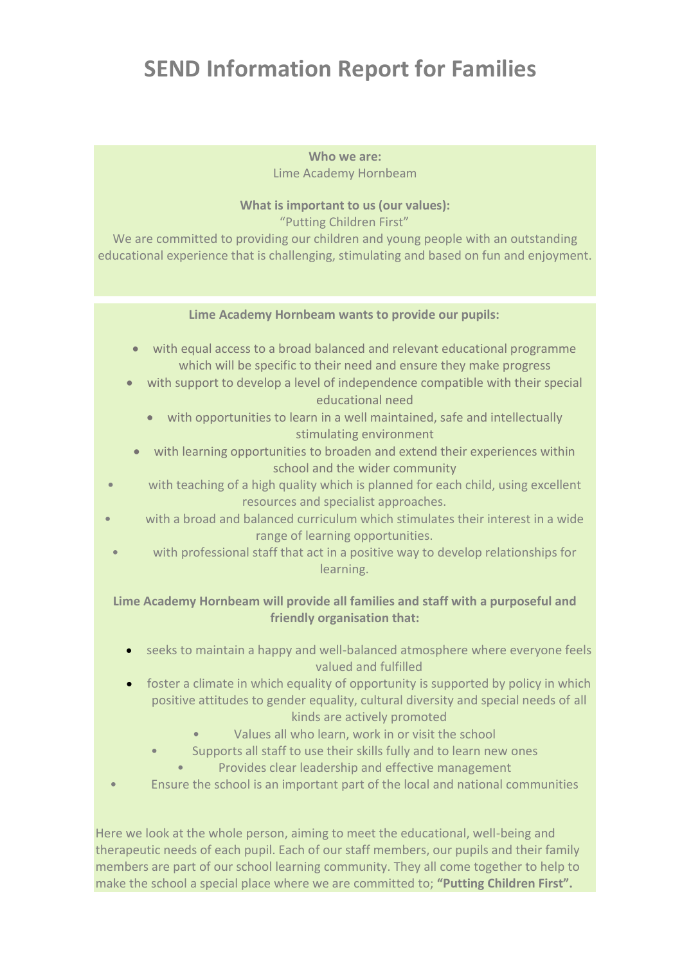# **SEND Information Report for Families**

**Who we are:** Lime Academy Hornbeam

## **What is important to us (our values):**

"Putting Children First"

We are committed to providing our children and young people with an outstanding educational experience that is challenging, stimulating and based on fun and enjoyment.

### **Lime Academy Hornbeam wants to provide our pupils:**

- with equal access to a broad balanced and relevant educational programme which will be specific to their need and ensure they make progress
- with support to develop a level of independence compatible with their special educational need
	- with opportunities to learn in a well maintained, safe and intellectually stimulating environment
	- with learning opportunities to broaden and extend their experiences within school and the wider community
- with teaching of a high quality which is planned for each child, using excellent resources and specialist approaches.
- with a broad and balanced curriculum which stimulates their interest in a wide range of learning opportunities.
- with professional staff that act in a positive way to develop relationships for learning.

## **Lime Academy Hornbeam will provide all families and staff with a purposeful and friendly organisation that:**

- seeks to maintain a happy and well-balanced atmosphere where everyone feels valued and fulfilled
- foster a climate in which equality of opportunity is supported by policy in which positive attitudes to gender equality, cultural diversity and special needs of all kinds are actively promoted
	- Values all who learn, work in or visit the school
	- Supports all staff to use their skills fully and to learn new ones
		- Provides clear leadership and effective management
- Ensure the school is an important part of the local and national communities

Here we look at the whole person, aiming to meet the educational, well-being and therapeutic needs of each pupil. Each of our staff members, our pupils and their family members are part of our school learning community. They all come together to help to make the school a special place where we are committed to; **"Putting Children First".**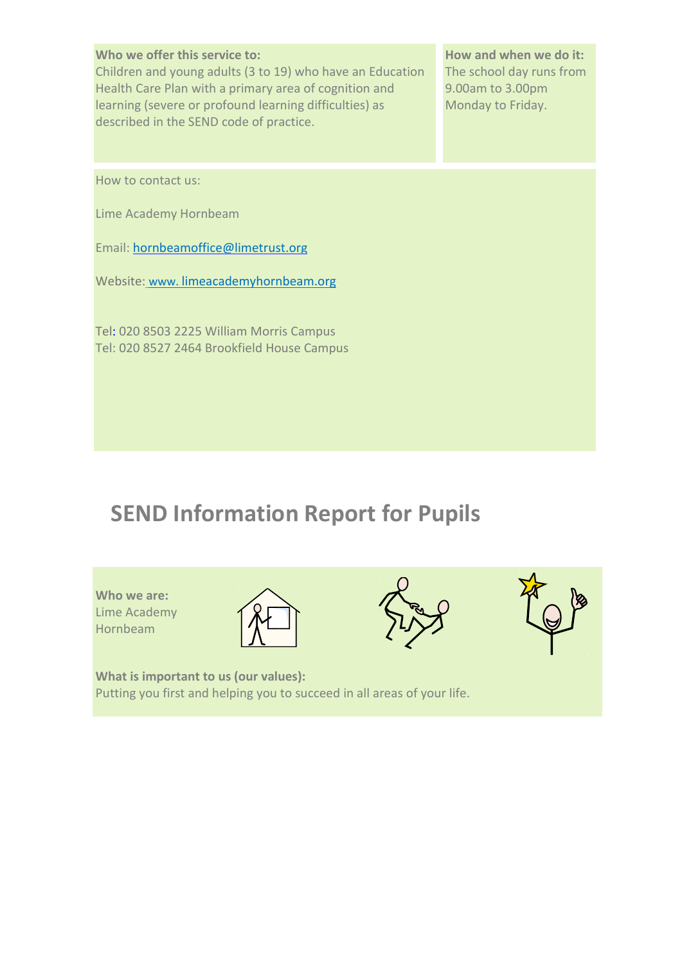#### **Who we offer this service to:**

Children and young adults (3 to 19) who have an Education Health Care Plan with a primary area of cognition and learning (severe or profound learning difficulties) as described in the SEND code of practice.

**How and when we do it:**  The school day runs from 9.00am to 3.00pm Monday to Friday.

How to contact us:

Lime Academy Hornbeam

Email: [hornbeamoffice@limetrust.org](mailto:hornbeamoffice@limetrust.org)

Website: www. limeacademyhornbeam.org

Tel: 020 8503 2225 William Morris Campus Tel: 020 8527 2464 Brookfield House Campus

## **SEND Information Report for Pupils**

**Who we are:**  Lime Academy Hornbeam







**What is important to us (our values):**  Putting you first and helping you to succeed in all areas of your life.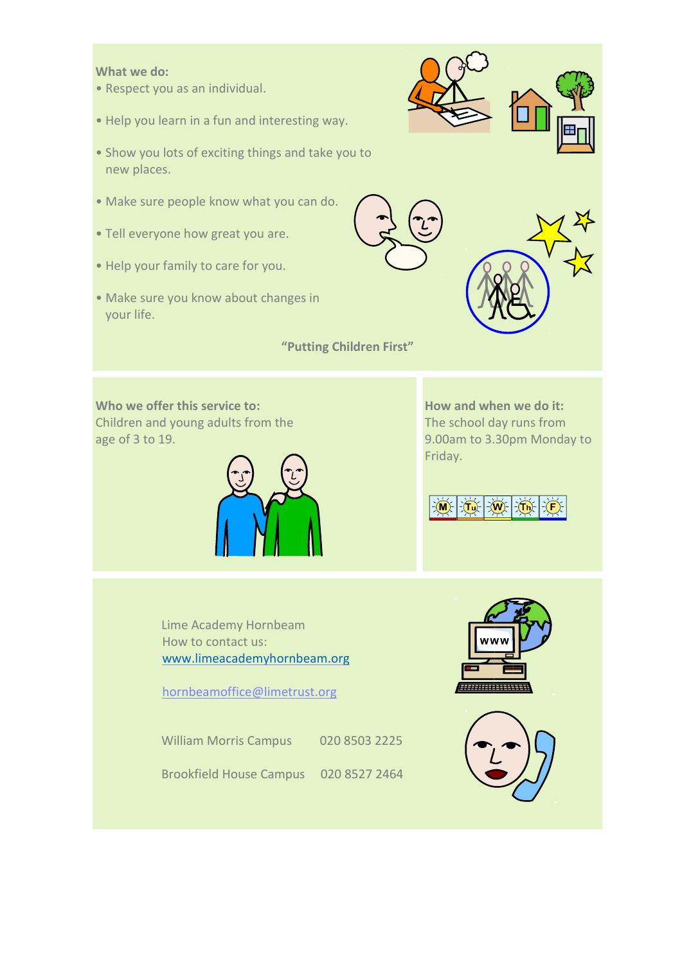#### **What we do:**

- Respect you as an individual.
- Help you learn in a fun and interesting way.
- Show you lots of exciting things and take you to new places.
- Make sure people know what you can do.
- Tell everyone how great you are.
- Help your family to care for you.
- Make sure you know about changes in your life.

**"Putting Children First"** 

**Who we offer this service to:**  Children and young adults from the age of 3 to 19.



**How and when we do it:**  The school day runs from 9.00am to 3.30pm Monday to Friday.



Lime Academy Hornbeam How to contact us: [www.limeacademyhornbeam.org](http://www.limeacademyhornbeam.org/)

hornbeamoffice@limetrust.org

William Morris Campus 020 8503 2225

Brookfield House Campus 020 8527 2464